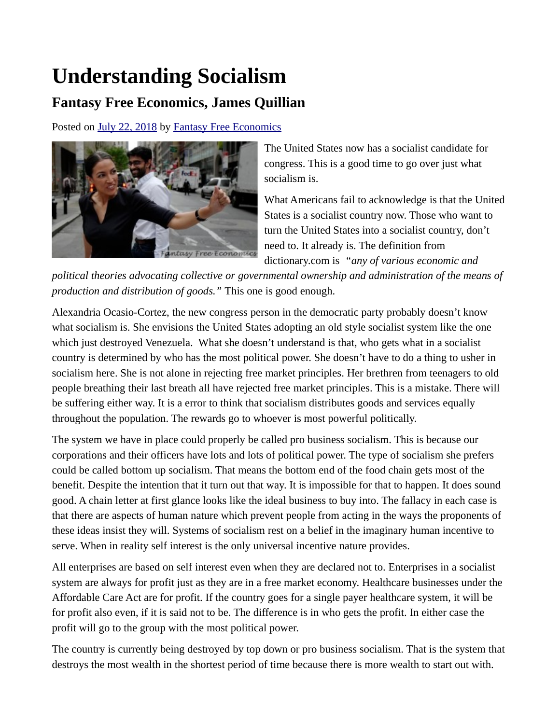## **Understanding Socialism**

## **Fantasy Free Economics, James Quillian**

Posted on [July 22, 2018](http://quillian.net/blog/understanding-socialism/) by [Fantasy Free Economics](http://quillian.net/blog/author/james-quillian/)



The United States now has a socialist candidate for congress. This is a good time to go over just what socialism is.

What Americans fail to acknowledge is that the United States is a socialist country now. Those who want to turn the United States into a socialist country, don't need to. It already is. The definition from dictionary.com is *"any of various economic and* 

*political theories advocating collective or governmental ownership and administration of the means of production and distribution of goods."* This one is good enough.

Alexandria Ocasio-Cortez, the new congress person in the democratic party probably doesn't know what socialism is. She envisions the United States adopting an old style socialist system like the one which just destroyed Venezuela. What she doesn't understand is that, who gets what in a socialist country is determined by who has the most political power. She doesn't have to do a thing to usher in socialism here. She is not alone in rejecting free market principles. Her brethren from teenagers to old people breathing their last breath all have rejected free market principles. This is a mistake. There will be suffering either way. It is a error to think that socialism distributes goods and services equally throughout the population. The rewards go to whoever is most powerful politically.

The system we have in place could properly be called pro business socialism. This is because our corporations and their officers have lots and lots of political power. The type of socialism she prefers could be called bottom up socialism. That means the bottom end of the food chain gets most of the benefit. Despite the intention that it turn out that way. It is impossible for that to happen. It does sound good. A chain letter at first glance looks like the ideal business to buy into. The fallacy in each case is that there are aspects of human nature which prevent people from acting in the ways the proponents of these ideas insist they will. Systems of socialism rest on a belief in the imaginary human incentive to serve. When in reality self interest is the only universal incentive nature provides.

All enterprises are based on self interest even when they are declared not to. Enterprises in a socialist system are always for profit just as they are in a free market economy. Healthcare businesses under the Affordable Care Act are for profit. If the country goes for a single payer healthcare system, it will be for profit also even, if it is said not to be. The difference is in who gets the profit. In either case the profit will go to the group with the most political power.

The country is currently being destroyed by top down or pro business socialism. That is the system that destroys the most wealth in the shortest period of time because there is more wealth to start out with.